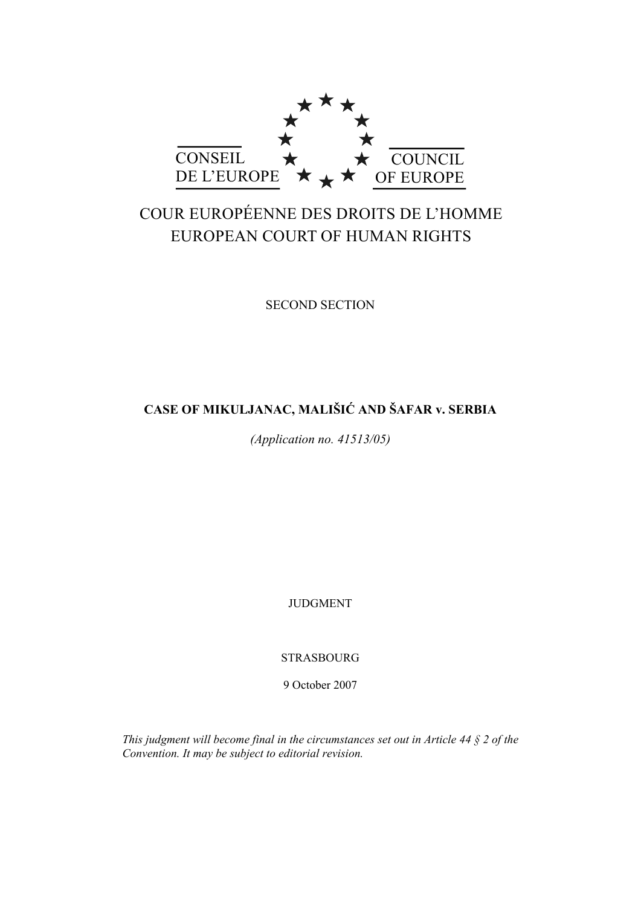

# COUR EUROPÉENNE DES DROITS DE L'HOMME EUROPEAN COURT OF HUMAN RIGHTS

SECOND SECTION

# **CASE OF MIKULJANAC, MALIŠIĆ AND ŠAFAR v. SERBIA**

*(Application no. 41513/05)* 

JUDGMENT

STRASBOURG

9 October 2007

*This judgment will become final in the circumstances set out in Article 44 § 2 of the Convention. It may be subject to editorial revision.*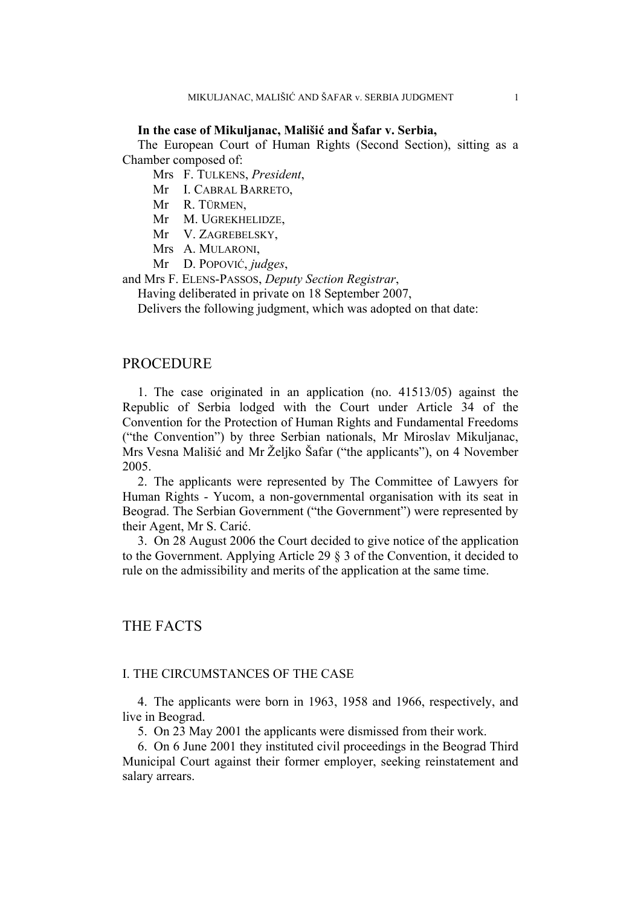### **In the case of Mikuljanac, Mališić and Šafar v. Serbia,**

The European Court of Human Rights (Second Section), sitting as a Chamber composed of:

Mrs F. TULKENS, *President*,

Mr I. CABRAL BARRETO,

Mr R. TÜRMEN,

Mr M. UGREKHELIDZE,

Mr V. ZAGREBELSKY,

Mrs A. MULARONI,

Mr D. POPOVIĆ, *judges*,

and Mrs F. ELENS-PASSOS, *Deputy Section Registrar*,

Having deliberated in private on 18 September 2007,

Delivers the following judgment, which was adopted on that date:

#### PROCEDURE

1. The case originated in an application (no. 41513/05) against the Republic of Serbia lodged with the Court under Article 34 of the Convention for the Protection of Human Rights and Fundamental Freedoms ("the Convention") by three Serbian nationals, Mr Miroslav Mikuljanac, Mrs Vesna Mališić and Mr Željko Šafar ("the applicants"), on 4 November 2005.

2. The applicants were represented by The Committee of Lawyers for Human Rights - Yucom, a non-governmental organisation with its seat in Beograd. The Serbian Government ("the Government") were represented by their Agent, Mr S. Carić.

3. On 28 August 2006 the Court decided to give notice of the application to the Government. Applying Article 29 § 3 of the Convention, it decided to rule on the admissibility and merits of the application at the same time.

# THE FACTS

#### I. THE CIRCUMSTANCES OF THE CASE

4. The applicants were born in 1963, 1958 and 1966, respectively, and live in Beograd.

5. On 23 May 2001 the applicants were dismissed from their work.

6. On 6 June 2001 they instituted civil proceedings in the Beograd Third Municipal Court against their former employer, seeking reinstatement and salary arrears.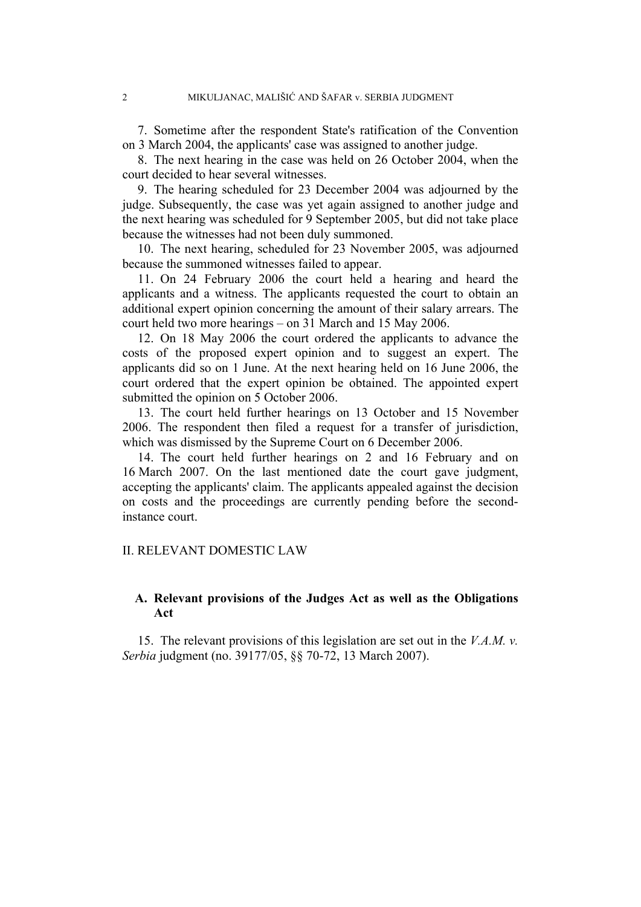7. Sometime after the respondent State's ratification of the Convention on 3 March 2004, the applicants' case was assigned to another judge.

8. The next hearing in the case was held on 26 October 2004, when the court decided to hear several witnesses.

9. The hearing scheduled for 23 December 2004 was adjourned by the judge. Subsequently, the case was yet again assigned to another judge and the next hearing was scheduled for 9 September 2005, but did not take place because the witnesses had not been duly summoned.

10. The next hearing, scheduled for 23 November 2005, was adjourned because the summoned witnesses failed to appear.

11. On 24 February 2006 the court held a hearing and heard the applicants and a witness. The applicants requested the court to obtain an additional expert opinion concerning the amount of their salary arrears. The court held two more hearings – on 31 March and 15 May 2006.

12. On 18 May 2006 the court ordered the applicants to advance the costs of the proposed expert opinion and to suggest an expert. The applicants did so on 1 June. At the next hearing held on 16 June 2006, the court ordered that the expert opinion be obtained. The appointed expert submitted the opinion on 5 October 2006.

13. The court held further hearings on 13 October and 15 November 2006. The respondent then filed a request for a transfer of jurisdiction, which was dismissed by the Supreme Court on 6 December 2006.

14. The court held further hearings on 2 and 16 February and on 16 March 2007. On the last mentioned date the court gave judgment, accepting the applicants' claim. The applicants appealed against the decision on costs and the proceedings are currently pending before the secondinstance court.

#### II. RELEVANT DOMESTIC LAW

# **A. Relevant provisions of the Judges Act as well as the Obligations Act**

15. The relevant provisions of this legislation are set out in the *V.A.M. v. Serbia* judgment (no. 39177/05, §§ 70-72, 13 March 2007).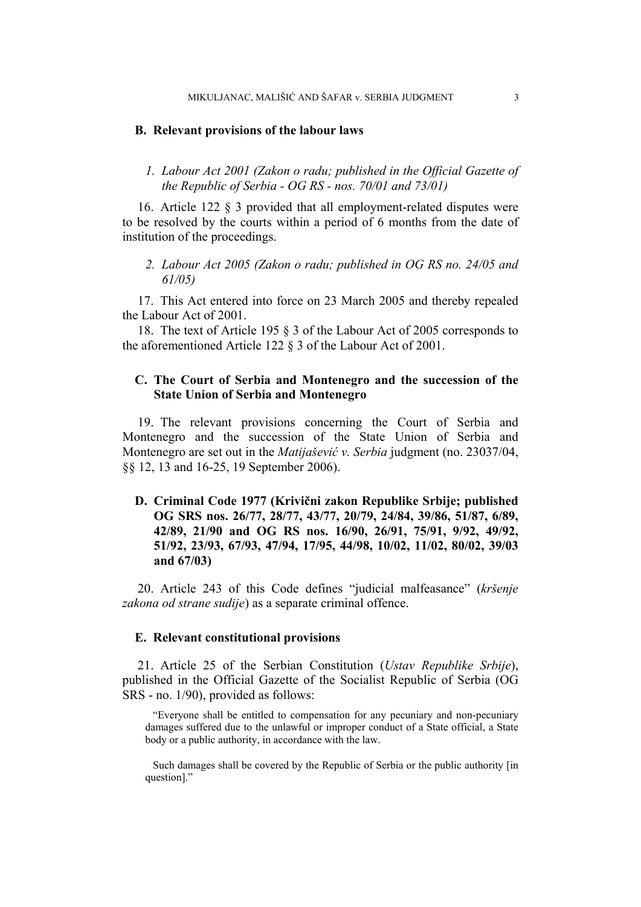#### **B. Relevant provisions of the labour laws**

# *1. Labour Act 2001 (Zakon o radu; published in the Official Gazette of the Republic of Serbia - OG RS - nos. 70/01 and 73/01)*

16. Article 122 § 3 provided that all employment-related disputes were to be resolved by the courts within a period of 6 months from the date of institution of the proceedings.

*2. Labour Act 2005 (Zakon o radu; published in OG RS no. 24/05 and 61/05)* 

17. This Act entered into force on 23 March 2005 and thereby repealed the Labour Act of 2001.

18. The text of Article 195 § 3 of the Labour Act of 2005 corresponds to the aforementioned Article 122 § 3 of the Labour Act of 2001.

# **C. The Court of Serbia and Montenegro and the succession of the State Union of Serbia and Montenegro**

19. The relevant provisions concerning the Court of Serbia and Montenegro and the succession of the State Union of Serbia and Montenegro are set out in the *Matijašević v. Serbia* judgment (no. 23037/04, §§ 12, 13 and 16-25, 19 September 2006).

**D. Criminal Code 1977 (Krivični zakon Republike Srbije; published OG SRS nos. 26/77, 28/77, 43/77, 20/79, 24/84, 39/86, 51/87, 6/89, 42/89, 21/90 and OG RS nos. 16/90, 26/91, 75/91, 9/92, 49/92, 51/92, 23/93, 67/93, 47/94, 17/95, 44/98, 10/02, 11/02, 80/02, 39/03 and 67/03)** 

20. Article 243 of this Code defines "judicial malfeasance" (*kršenje zakona od strane sudije*) as a separate criminal offence.

#### **E. Relevant constitutional provisions**

21. Article 25 of the Serbian Constitution (*Ustav Republike Srbije*), published in the Official Gazette of the Socialist Republic of Serbia (OG SRS - no. 1/90), provided as follows:

"Everyone shall be entitled to compensation for any pecuniary and non-pecuniary damages suffered due to the unlawful or improper conduct of a State official, a State body or a public authority, in accordance with the law.

Such damages shall be covered by the Republic of Serbia or the public authority [in question]."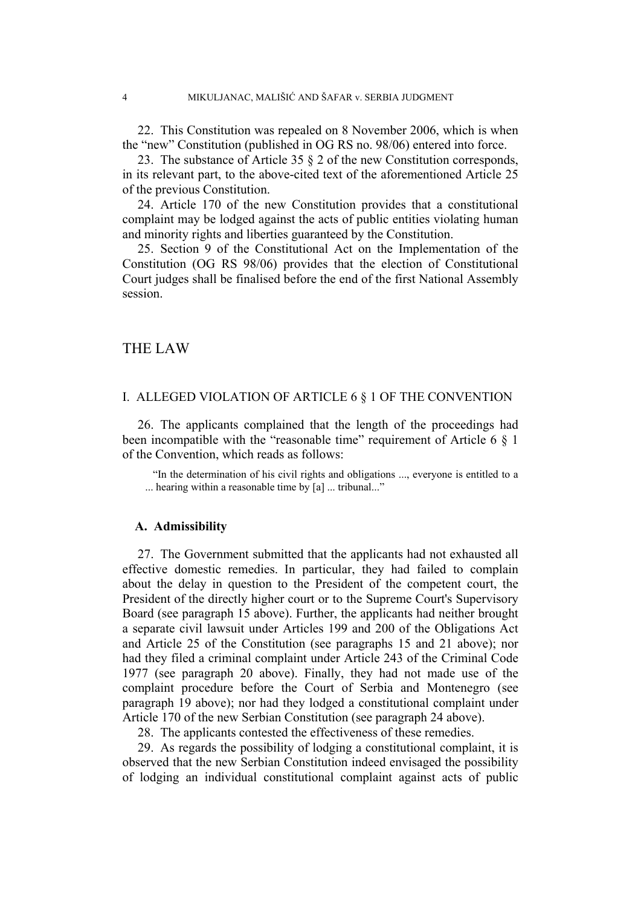22. This Constitution was repealed on 8 November 2006, which is when the "new" Constitution (published in OG RS no. 98/06) entered into force.

23. The substance of Article 35 § 2 of the new Constitution corresponds, in its relevant part, to the above-cited text of the aforementioned Article 25 of the previous Constitution.

24. Article 170 of the new Constitution provides that a constitutional complaint may be lodged against the acts of public entities violating human and minority rights and liberties guaranteed by the Constitution.

25. Section 9 of the Constitutional Act on the Implementation of the Constitution (OG RS 98/06) provides that the election of Constitutional Court judges shall be finalised before the end of the first National Assembly session.

# THE LAW

# I. ALLEGED VIOLATION OF ARTICLE 6 § 1 OF THE CONVENTION

26. The applicants complained that the length of the proceedings had been incompatible with the "reasonable time" requirement of Article 6 § 1 of the Convention, which reads as follows:

"In the determination of his civil rights and obligations ..., everyone is entitled to a ... hearing within a reasonable time by [a] ... tribunal..."

#### **A. Admissibility**

27. The Government submitted that the applicants had not exhausted all effective domestic remedies. In particular, they had failed to complain about the delay in question to the President of the competent court, the President of the directly higher court or to the Supreme Court's Supervisory Board (see paragraph 15 above). Further, the applicants had neither brought a separate civil lawsuit under Articles 199 and 200 of the Obligations Act and Article 25 of the Constitution (see paragraphs 15 and 21 above); nor had they filed a criminal complaint under Article 243 of the Criminal Code 1977 (see paragraph 20 above). Finally, they had not made use of the complaint procedure before the Court of Serbia and Montenegro (see paragraph 19 above); nor had they lodged a constitutional complaint under Article 170 of the new Serbian Constitution (see paragraph 24 above).

28. The applicants contested the effectiveness of these remedies.

29. As regards the possibility of lodging a constitutional complaint, it is observed that the new Serbian Constitution indeed envisaged the possibility of lodging an individual constitutional complaint against acts of public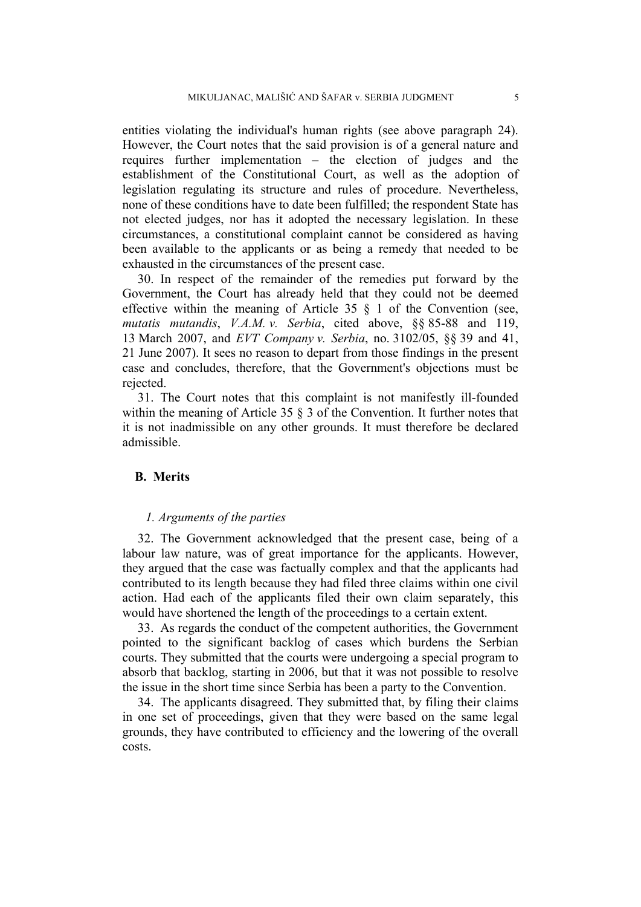entities violating the individual's human rights (see above paragraph 24). However, the Court notes that the said provision is of a general nature and requires further implementation – the election of judges and the establishment of the Constitutional Court, as well as the adoption of legislation regulating its structure and rules of procedure. Nevertheless, none of these conditions have to date been fulfilled; the respondent State has not elected judges, nor has it adopted the necessary legislation. In these circumstances, a constitutional complaint cannot be considered as having been available to the applicants or as being a remedy that needed to be exhausted in the circumstances of the present case.

30. In respect of the remainder of the remedies put forward by the Government, the Court has already held that they could not be deemed effective within the meaning of Article 35 § 1 of the Convention (see, *mutatis mutandis*, *V.A.M. v. Serbia*, cited above, §§ 85-88 and 119, 13 March 2007, and *EVT Company v. Serbia*, no. 3102/05, §§ 39 and 41, 21 June 2007). It sees no reason to depart from those findings in the present case and concludes, therefore, that the Government's objections must be rejected.

31. The Court notes that this complaint is not manifestly ill-founded within the meaning of Article 35  $\S$  3 of the Convention. It further notes that it is not inadmissible on any other grounds. It must therefore be declared admissible.

#### **B. Merits**

#### *1. Arguments of the parties*

32. The Government acknowledged that the present case, being of a labour law nature, was of great importance for the applicants. However, they argued that the case was factually complex and that the applicants had contributed to its length because they had filed three claims within one civil action. Had each of the applicants filed their own claim separately, this would have shortened the length of the proceedings to a certain extent.

33. As regards the conduct of the competent authorities, the Government pointed to the significant backlog of cases which burdens the Serbian courts. They submitted that the courts were undergoing a special program to absorb that backlog, starting in 2006, but that it was not possible to resolve the issue in the short time since Serbia has been a party to the Convention.

34. The applicants disagreed. They submitted that, by filing their claims in one set of proceedings, given that they were based on the same legal grounds, they have contributed to efficiency and the lowering of the overall costs.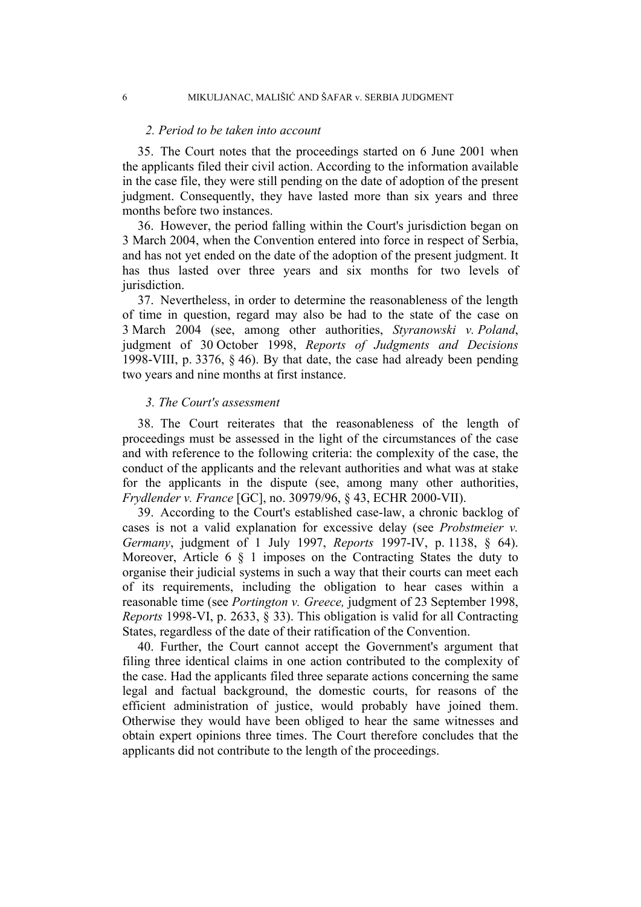#### *2. Period to be taken into account*

35. The Court notes that the proceedings started on 6 June 2001 when the applicants filed their civil action. According to the information available in the case file, they were still pending on the date of adoption of the present judgment. Consequently, they have lasted more than six years and three months before two instances.

36. However, the period falling within the Court's jurisdiction began on 3 March 2004, when the Convention entered into force in respect of Serbia, and has not yet ended on the date of the adoption of the present judgment. It has thus lasted over three years and six months for two levels of jurisdiction.

37. Nevertheless, in order to determine the reasonableness of the length of time in question, regard may also be had to the state of the case on 3 March 2004 (see, among other authorities, *Styranowski v. Poland*, judgment of 30 October 1998, *Reports of Judgments and Decisions* 1998-VIII, p. 3376, § 46). By that date, the case had already been pending two years and nine months at first instance.

#### *3. The Court's assessment*

38. The Court reiterates that the reasonableness of the length of proceedings must be assessed in the light of the circumstances of the case and with reference to the following criteria: the complexity of the case, the conduct of the applicants and the relevant authorities and what was at stake for the applicants in the dispute (see, among many other authorities, *Frydlender v. France* [GC], no. 30979/96, § 43, ECHR 2000-VII).

39. According to the Court's established case-law, a chronic backlog of cases is not a valid explanation for excessive delay (see *Probstmeier v. Germany*, judgment of 1 July 1997, *Reports* 1997-IV, p. 1138, § 64). Moreover, Article 6 § 1 imposes on the Contracting States the duty to organise their judicial systems in such a way that their courts can meet each of its requirements, including the obligation to hear cases within a reasonable time (see *Portington v. Greece,* judgment of 23 September 1998, *Reports* 1998-VI, p. 2633, § 33). This obligation is valid for all Contracting States, regardless of the date of their ratification of the Convention.

40. Further, the Court cannot accept the Government's argument that filing three identical claims in one action contributed to the complexity of the case. Had the applicants filed three separate actions concerning the same legal and factual background, the domestic courts, for reasons of the efficient administration of justice, would probably have joined them. Otherwise they would have been obliged to hear the same witnesses and obtain expert opinions three times. The Court therefore concludes that the applicants did not contribute to the length of the proceedings.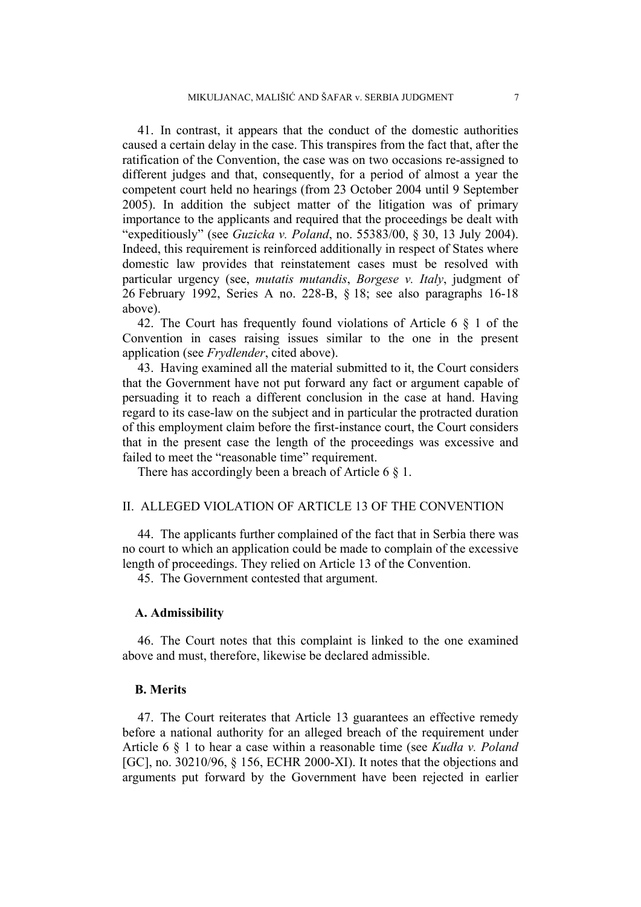41. In contrast, it appears that the conduct of the domestic authorities caused a certain delay in the case. This transpires from the fact that, after the ratification of the Convention, the case was on two occasions re-assigned to different judges and that, consequently, for a period of almost a year the competent court held no hearings (from 23 October 2004 until 9 September 2005). In addition the subject matter of the litigation was of primary importance to the applicants and required that the proceedings be dealt with "expeditiously" (see *Guzicka v. Poland*, no. 55383/00, § 30, 13 July 2004). Indeed, this requirement is reinforced additionally in respect of States where domestic law provides that reinstatement cases must be resolved with particular urgency (see, *mutatis mutandis*, *Borgese v. Italy*, judgment of 26 February 1992, Series A no. 228-B, § 18; see also paragraphs 16-18 above).

42. The Court has frequently found violations of Article 6 § 1 of the Convention in cases raising issues similar to the one in the present application (see *Frydlender*, cited above).

43. Having examined all the material submitted to it, the Court considers that the Government have not put forward any fact or argument capable of persuading it to reach a different conclusion in the case at hand. Having regard to its case-law on the subject and in particular the protracted duration of this employment claim before the first-instance court, the Court considers that in the present case the length of the proceedings was excessive and failed to meet the "reasonable time" requirement.

There has accordingly been a breach of Article 6 § 1.

# II. ALLEGED VIOLATION OF ARTICLE 13 OF THE CONVENTION

44. The applicants further complained of the fact that in Serbia there was no court to which an application could be made to complain of the excessive length of proceedings. They relied on Article 13 of the Convention.

45. The Government contested that argument.

#### **A. Admissibility**

46. The Court notes that this complaint is linked to the one examined above and must, therefore, likewise be declared admissible.

#### **B. Merits**

47. The Court reiterates that Article 13 guarantees an effective remedy before a national authority for an alleged breach of the requirement under Article 6 § 1 to hear a case within a reasonable time (see *Kudła v. Poland* [GC], no. 30210/96, § 156, ECHR 2000-XI). It notes that the objections and arguments put forward by the Government have been rejected in earlier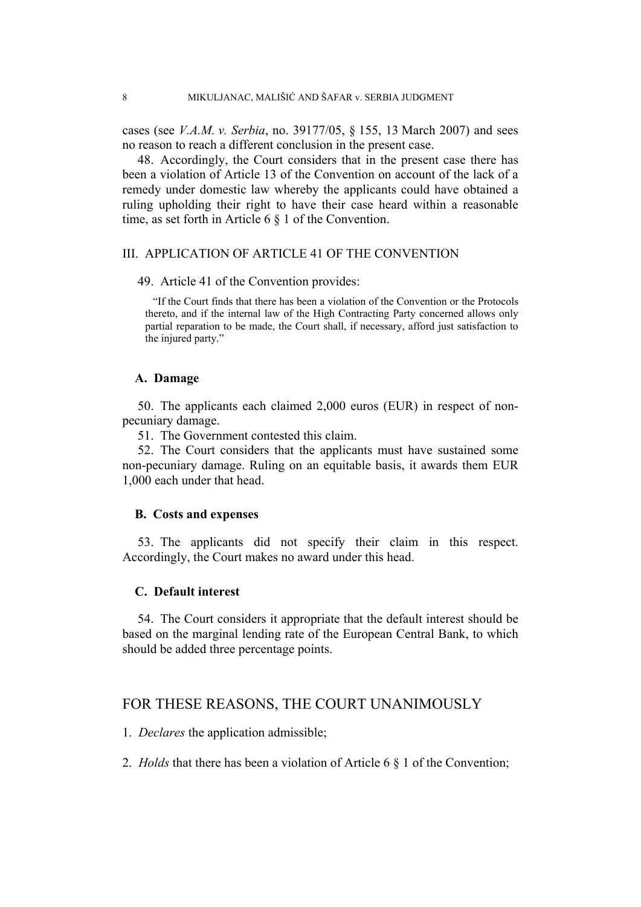cases (see *V.A.M. v. Serbia*, no. 39177/05, § 155, 13 March 2007) and sees no reason to reach a different conclusion in the present case.

48. Accordingly, the Court considers that in the present case there has been a violation of Article 13 of the Convention on account of the lack of a remedy under domestic law whereby the applicants could have obtained a ruling upholding their right to have their case heard within a reasonable time, as set forth in Article 6 § 1 of the Convention.

#### III. APPLICATION OF ARTICLE 41 OF THE CONVENTION

#### 49. Article 41 of the Convention provides:

"If the Court finds that there has been a violation of the Convention or the Protocols thereto, and if the internal law of the High Contracting Party concerned allows only partial reparation to be made, the Court shall, if necessary, afford just satisfaction to the injured party."

#### **A. Damage**

50. The applicants each claimed 2,000 euros (EUR) in respect of nonpecuniary damage.

51. The Government contested this claim.

52. The Court considers that the applicants must have sustained some non-pecuniary damage. Ruling on an equitable basis, it awards them EUR 1,000 each under that head.

#### **B. Costs and expenses**

53. The applicants did not specify their claim in this respect. Accordingly, the Court makes no award under this head.

#### **C. Default interest**

54. The Court considers it appropriate that the default interest should be based on the marginal lending rate of the European Central Bank, to which should be added three percentage points.

# FOR THESE REASONS, THE COURT UNANIMOUSLY

1. *Declares* the application admissible;

2. *Holds* that there has been a violation of Article 6 § 1 of the Convention;